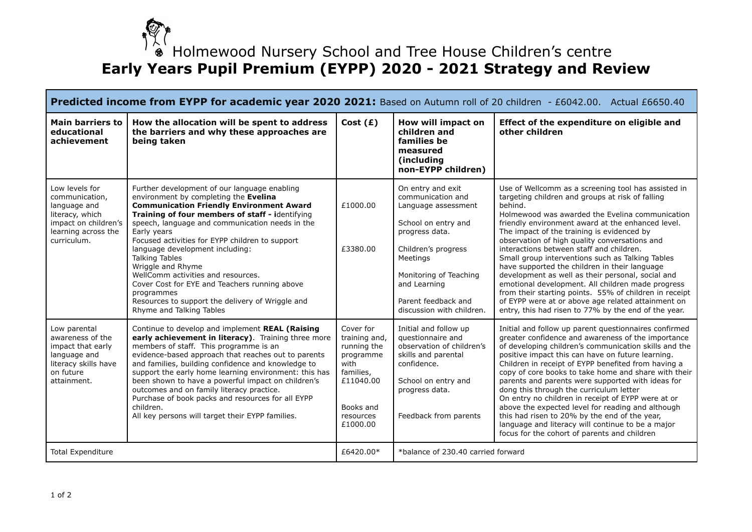

## $\overset{\leftarrow}{\bullet}$  Holmewood Nursery School and Tree House Children's centre **Early Years Pupil Premium (EYPP) 2020 - 2021 Strategy and Review**

| Predicted income from EYPP for academic year 2020 2021: Based on Autumn roll of 20 children - £6042.00. Actual £6650.40           |                                                                                                                                                                                                                                                                                                                                                                                                                                                                                                                                                                                        |                                                                                                                                |                                                                                                                                                                                                                                         |                                                                                                                                                                                                                                                                                                                                                                                                                                                                                                                                                                                                                                                                                                                                                              |
|-----------------------------------------------------------------------------------------------------------------------------------|----------------------------------------------------------------------------------------------------------------------------------------------------------------------------------------------------------------------------------------------------------------------------------------------------------------------------------------------------------------------------------------------------------------------------------------------------------------------------------------------------------------------------------------------------------------------------------------|--------------------------------------------------------------------------------------------------------------------------------|-----------------------------------------------------------------------------------------------------------------------------------------------------------------------------------------------------------------------------------------|--------------------------------------------------------------------------------------------------------------------------------------------------------------------------------------------------------------------------------------------------------------------------------------------------------------------------------------------------------------------------------------------------------------------------------------------------------------------------------------------------------------------------------------------------------------------------------------------------------------------------------------------------------------------------------------------------------------------------------------------------------------|
| <b>Main barriers to</b><br>educational<br>achievement                                                                             | How the allocation will be spent to address<br>the barriers and why these approaches are<br>being taken                                                                                                                                                                                                                                                                                                                                                                                                                                                                                | Cost $(E)$                                                                                                                     | How will impact on<br>children and<br>families be<br>measured<br>(including<br>non-EYPP children)                                                                                                                                       | Effect of the expenditure on eligible and<br>other children                                                                                                                                                                                                                                                                                                                                                                                                                                                                                                                                                                                                                                                                                                  |
| Low levels for<br>communication,<br>language and<br>literacy, which<br>impact on children's<br>learning across the<br>curriculum. | Further development of our language enabling<br>environment by completing the Evelina<br><b>Communication Friendly Environment Award</b><br>Training of four members of staff - identifying<br>speech, language and communication needs in the<br>Early years<br>Focused activities for EYPP children to support<br>language development including:<br><b>Talking Tables</b><br>Wriggle and Rhyme<br>WellComm activities and resources.<br>Cover Cost for EYE and Teachers running above<br>programmes<br>Resources to support the delivery of Wriggle and<br>Rhyme and Talking Tables | £1000.00<br>£3380.00                                                                                                           | On entry and exit<br>communication and<br>Language assessment<br>School on entry and<br>progress data.<br>Children's progress<br>Meetings<br>Monitoring of Teaching<br>and Learning<br>Parent feedback and<br>discussion with children. | Use of Wellcomm as a screening tool has assisted in<br>targeting children and groups at risk of falling<br>behind.<br>Holmewood was awarded the Evelina communication<br>friendly environment award at the enhanced level.<br>The impact of the training is evidenced by<br>observation of high quality conversations and<br>interactions between staff and children.<br>Small group interventions such as Talking Tables<br>have supported the children in their language<br>development as well as their personal, social and<br>emotional development. All children made progress<br>from their starting points. 55% of children in receipt<br>of EYPP were at or above age related attainment on<br>entry, this had risen to 77% by the end of the year. |
| Low parental<br>awareness of the<br>impact that early<br>language and<br>literacy skills have<br>on future<br>attainment.         | Continue to develop and implement REAL (Raising<br>early achievement in literacy). Training three more<br>members of staff. This programme is an<br>evidence-based approach that reaches out to parents<br>and families, building confidence and knowledge to<br>support the early home learning environment: this has<br>been shown to have a powerful impact on children's<br>outcomes and on family literacy practice.<br>Purchase of book packs and resources for all EYPP<br>children.<br>All key persons will target their EYPP families.                                        | Cover for<br>training and,<br>running the<br>programme<br>with<br>families,<br>£11040.00<br>Books and<br>resources<br>£1000.00 | Initial and follow up<br>questionnaire and<br>observation of children's<br>skills and parental<br>confidence.<br>School on entry and<br>progress data.<br>Feedback from parents                                                         | Initial and follow up parent questionnaires confirmed<br>greater confidence and awareness of the importance<br>of developing children's communication skills and the<br>positive impact this can have on future learning.<br>Children in receipt of EYPP benefited from having a<br>copy of core books to take home and share with their<br>parents and parents were supported with ideas for<br>dong this through the curriculum letter<br>On entry no children in receipt of EYPP were at or<br>above the expected level for reading and although<br>this had risen to 20% by the end of the year,<br>language and literacy will continue to be a major<br>focus for the cohort of parents and children                                                    |
| <b>Total Expenditure</b>                                                                                                          |                                                                                                                                                                                                                                                                                                                                                                                                                                                                                                                                                                                        | £6420.00*                                                                                                                      | *balance of 230.40 carried forward                                                                                                                                                                                                      |                                                                                                                                                                                                                                                                                                                                                                                                                                                                                                                                                                                                                                                                                                                                                              |